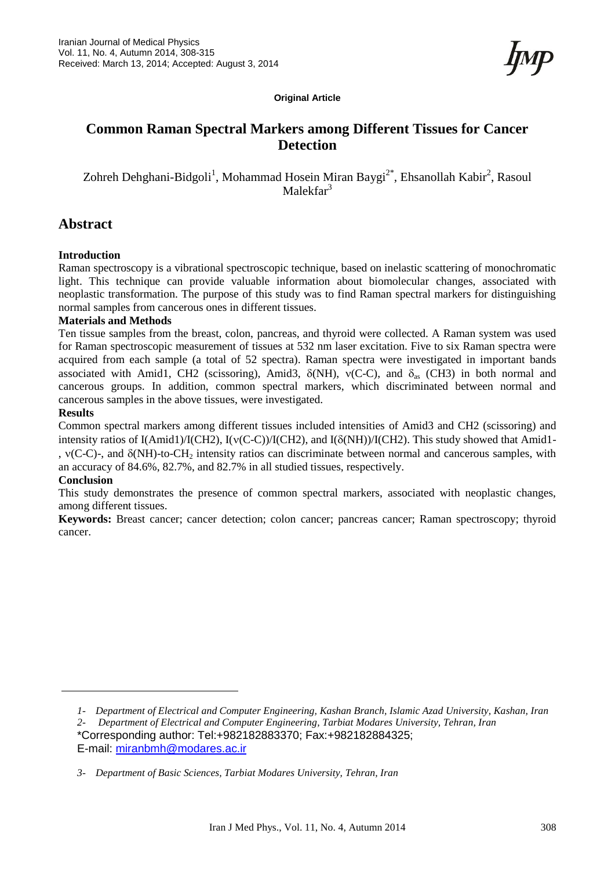**Original Article**

# **Common Raman Spectral Markers among Different Tissues for Cancer Detection**

Zohreh Dehghani-Bidgoli<sup>1</sup>, Mohammad Hosein Miran Baygi<sup>2\*</sup>, Ehsanollah Kabir<sup>2</sup>, Rasoul Malekfar<sup>3</sup>

# **Abstract**

#### **Introduction**

Raman spectroscopy is a vibrational spectroscopic technique, based on inelastic scattering of monochromatic light. This technique can provide valuable information about biomolecular changes, associated with neoplastic transformation. The purpose of this study was to find Raman spectral markers for distinguishing normal samples from cancerous ones in different tissues.

#### **Materials and Methods**

Ten tissue samples from the breast, colon, pancreas, and thyroid were collected. A Raman system was used for Raman spectroscopic measurement of tissues at 532 nm laser excitation. Five to six Raman spectra were acquired from each sample (a total of 52 spectra). Raman spectra were investigated in important bands associated with Amid1, CH2 (scissoring), Amid3,  $\delta(NH)$ ,  $\nu(C-C)$ , and  $\delta_{as}$  (CH3) in both normal and cancerous groups. In addition, common spectral markers, which discriminated between normal and cancerous samples in the above tissues, were investigated.

### **Results**

Common spectral markers among different tissues included intensities of Amid3 and CH2 (scissoring) and intensity ratios of I(Amid1)/I(CH2), I( $v(C-C)$ )/I(CH2), and I( $\delta(NH)$ )/I(CH2). This study showed that Amid1-,  $v(C-C)$ -, and  $\delta(NH)$ -to-CH<sub>2</sub> intensity ratios can discriminate between normal and cancerous samples, with an accuracy of 84.6%, 82.7%, and 82.7% in all studied tissues, respectively.

#### **Conclusion**

This study demonstrates the presence of common spectral markers, associated with neoplastic changes, among different tissues.

**Keywords:** Breast cancer; cancer detection; colon cancer; pancreas cancer; Raman spectroscopy; thyroid cancer.

E-mail: [miranbmh@modares.ac.ir](mailto:miranbmh@modares.ac.ir)

*<sup>1-</sup> Department of Electrical and Computer Engineering, Kashan Branch, Islamic Azad University, Kashan, Iran*

*<sup>2-</sup> Department of Electrical and Computer Engineering, Tarbiat Modares University, Tehran, Iran* \*Corresponding author: Tel:+982182883370; Fax:+982182884325;

*<sup>3-</sup> Department of Basic Sciences, Tarbiat Modares University, Tehran, Iran*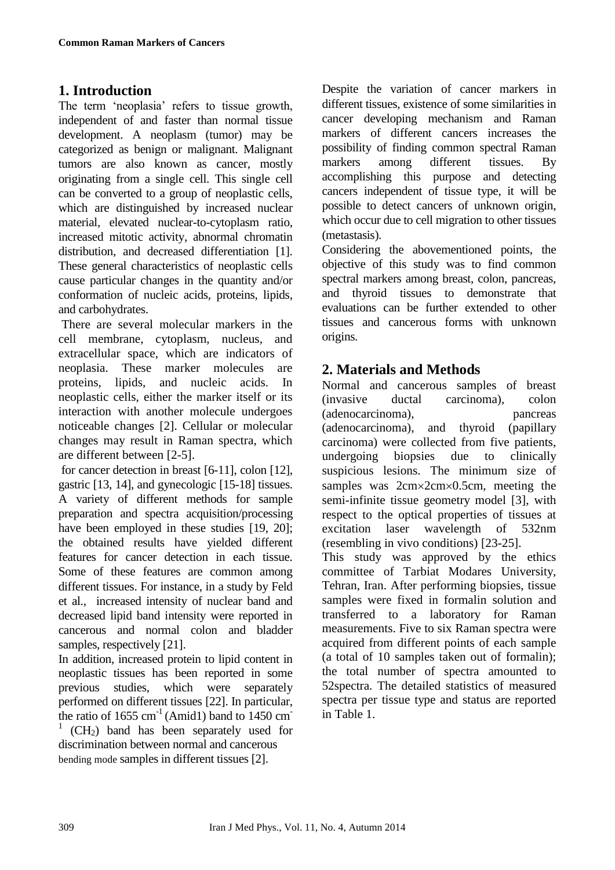# **1. Introduction**

The term 'neoplasia' refers to tissue growth, independent of and faster than normal tissue development. A neoplasm (tumor) may be categorized as benign or malignant. Malignant tumors are also known as cancer, mostly originating from a single cell. This single cell can be converted to a group of neoplastic cells, which are distinguished by increased nuclear material, elevated nuclear-to-cytoplasm ratio, increased mitotic activity, abnormal chromatin distribution, and decreased differentiation [1]. These general characteristics of neoplastic cells cause particular changes in the quantity and/or conformation of nucleic acids, proteins, lipids, and carbohydrates.

There are several molecular markers in the cell membrane, cytoplasm, nucleus, and extracellular space, which are indicators of neoplasia. These marker molecules are proteins, lipids, and nucleic acids. In neoplastic cells, either the marker itself or its interaction with another molecule undergoes noticeable changes [2]. Cellular or molecular changes may result in Raman spectra, which are different between [2-5].

for cancer detection in breast [6-11], colon [12], gastric [13, 14], and gynecologic [15-18] tissues. A variety of different methods for sample preparation and spectra acquisition/processing have been employed in these studies [19, 20]; the obtained results have yielded different features for cancer detection in each tissue. Some of these features are common among different tissues. For instance, in a study by Feld et al., increased intensity of nuclear band and decreased lipid band intensity were reported in cancerous and normal colon and bladder samples, respectively [21].

In addition, increased protein to lipid content in neoplastic tissues has been reported in some previous studies, which were separately performed on different tissues [22]. In particular, the ratio of  $1655 \text{ cm}^{-1}$  (Amid1) band to  $1450 \text{ cm}^{-1}$ <sup>1</sup> (CH<sub>2</sub>) band has been separately used for discrimination between normal and cancerous bending mode samples in different tissues [2].

Despite the variation of cancer markers in different tissues, existence of some similarities in cancer developing mechanism and Raman markers of different cancers increases the possibility of finding common spectral Raman markers among different tissues. By accomplishing this purpose and detecting cancers independent of tissue type, it will be possible to detect cancers of unknown origin, which occur due to cell migration to other tissues (metastasis).

Considering the abovementioned points, the objective of this study was to find common spectral markers among breast, colon, pancreas, and thyroid tissues to demonstrate that evaluations can be further extended to other tissues and cancerous forms with unknown origins.

# **2. Materials and Methods**

Normal and cancerous samples of breast (invasive ductal carcinoma), colon (adenocarcinoma), pancreas (adenocarcinoma), and thyroid (papillary carcinoma) were collected from five patients, undergoing biopsies due to clinically suspicious lesions. The minimum size of samples was  $2cm \times 2cm \times 0.5cm$ , meeting the semi-infinite tissue geometry model [3], with respect to the optical properties of tissues at excitation laser wavelength of 532nm (resembling in vivo conditions) [23-25]. This study was approved by the ethics committee of Tarbiat Modares University, Tehran, Iran. After performing biopsies, tissue samples were fixed in formalin solution and transferred to a laboratory for Raman measurements. Five to six Raman spectra were acquired from different points of each sample (a total of 10 samples taken out of formalin); the total number of spectra amounted to 52spectra. The detailed statistics of measured spectra per tissue type and status are reported in Table 1.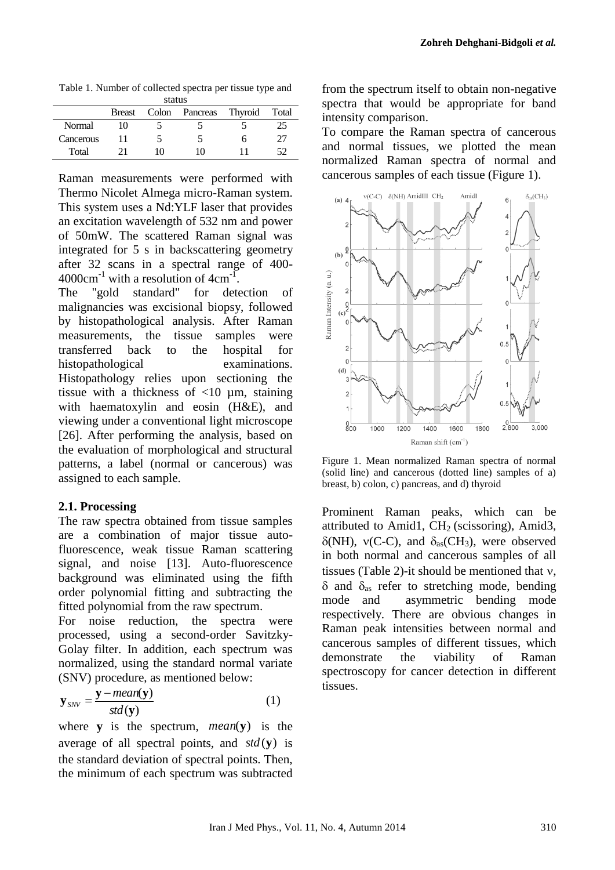Table 1. Number of collected spectra per tissue type and status

|           | <b>Breast</b> | Colon | Pancreas | Thyroid | Total |  |  |
|-----------|---------------|-------|----------|---------|-------|--|--|
| Normal    | 10            |       |          |         | 25    |  |  |
| Cancerous |               |       |          |         | 77    |  |  |
| Total     |               | 10    | 10       |         |       |  |  |

Raman measurements were performed with Thermo Nicolet Almega micro-Raman system. This system uses a Nd:YLF laser that provides an excitation wavelength of 532 nm and power of 50mW. The scattered Raman signal was integrated for 5 s in backscattering geometry after 32 scans in a spectral range of 400-  $4000 \text{cm}^{-1}$  with a resolution of  $4 \text{cm}^{-1}$ .

The "gold standard" for detection of malignancies was excisional biopsy, followed by histopathological analysis. After Raman measurements, the tissue samples were transferred back to the hospital for histopathological examinations. Histopathology relies upon sectioning the tissue with a thickness of  $\langle 10 \mu m, \text{staining} \rangle$ with haematoxylin and eosin (H&E), and viewing under a conventional light microscope [26]. After performing the analysis, based on the evaluation of morphological and structural patterns, a label (normal or cancerous) was assigned to each sample.

### **2.1. Processing**

The raw spectra obtained from tissue samples are a combination of major tissue autofluorescence, weak tissue Raman scattering signal, and noise [13]. Auto-fluorescence background was eliminated using the fifth order polynomial fitting and subtracting the fitted polynomial from the raw spectrum.

For noise reduction, the spectra were processed, using a second-order Savitzky-Golay filter. In addition, each spectrum was normalized, using the standard normal variate (SNV) procedure, as mentioned below:

$$
\mathbf{y}_{\text{SNV}} = \frac{\mathbf{y} - \text{mean}(\mathbf{y})}{\text{std}(\mathbf{y})} \tag{1}
$$

where **y** is the spectrum, *mean*(**y**) is the average of all spectral points, and  $std(y)$  is the standard deviation of spectral points. Then, the minimum of each spectrum was subtracted

from the spectrum itself to obtain non-negative spectra that would be appropriate for band intensity comparison.

To compare the Raman spectra of cancerous and normal tissues, we plotted the mean normalized Raman spectra of normal and cancerous samples of each tissue (Figure 1).



Figure 1. Mean normalized Raman spectra of normal (solid line) and cancerous (dotted line) samples of a) breast, b) colon, c) pancreas, and d) thyroid

Prominent Raman peaks, which can be attributed to Amid1,  $CH<sub>2</sub>$  (scissoring), Amid3,  $\delta(NH)$ ,  $\nu(C-C)$ , and  $\delta_{as}(CH_3)$ , were observed in both normal and cancerous samples of all tissues (Table 2)-it should be mentioned that  $v$ ,  $\delta$  and  $\delta$ <sub>as</sub> refer to stretching mode, bending mode and asymmetric bending mode respectively. There are obvious changes in Raman peak intensities between normal and cancerous samples of different tissues, which demonstrate the viability of Raman spectroscopy for cancer detection in different tissues.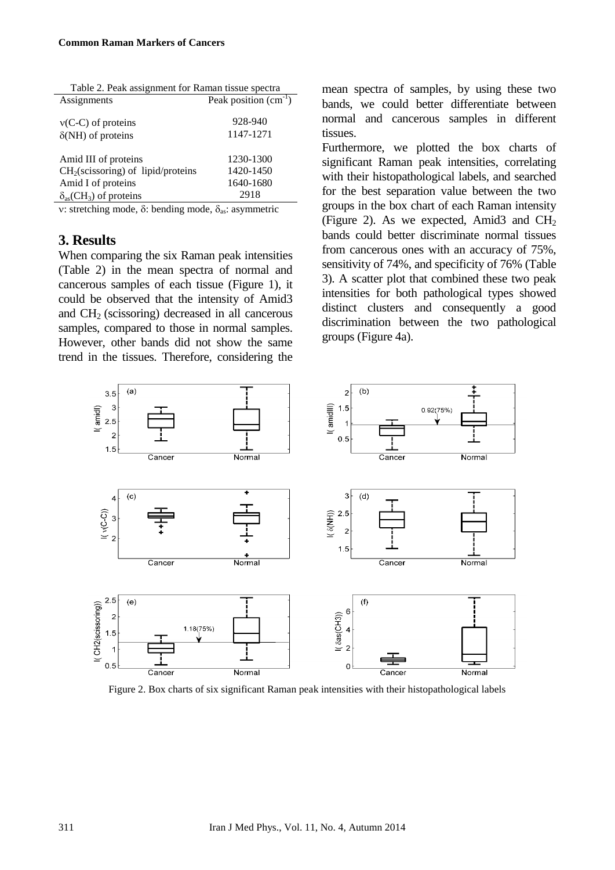| Table 2. Peak assignment for Raman tissue spectra |                        |  |  |  |
|---------------------------------------------------|------------------------|--|--|--|
| Assignments                                       | Peak position $(cm-1)$ |  |  |  |
| $v(C-C)$ of proteins                              | 928-940                |  |  |  |
| $\delta(NH)$ of proteins                          | 1147-1271              |  |  |  |
| Amid III of proteins                              | 1230-1300              |  |  |  |
| CH <sub>2</sub> (scissoring) of lipid/proteins    | 1420-1450              |  |  |  |
| Amid I of proteins                                | 1640-1680              |  |  |  |
| $\delta_{as}(CH_3)$ of proteins                   | 2918                   |  |  |  |

v: stretching mode,  $\delta$ : bending mode,  $\delta_{as}$ : asymmetric

## **3. Results**

When comparing the six Raman peak intensities (Table 2) in the mean spectra of normal and cancerous samples of each tissue (Figure 1), it could be observed that the intensity of Amid3 and  $CH<sub>2</sub>$  (scissoring) decreased in all cancerous samples, compared to those in normal samples. However, other bands did not show the same trend in the tissues. Therefore, considering the

mean spectra of samples, by using these two bands, we could better differentiate between normal and cancerous samples in different tissues.

Furthermore, we plotted the box charts of significant Raman peak intensities, correlating with their histopathological labels, and searched for the best separation value between the two groups in the box chart of each Raman intensity (Figure 2). As we expected, Amid3 and  $CH<sub>2</sub>$ bands could better discriminate normal tissues from cancerous ones with an accuracy of 75%, sensitivity of 74%, and specificity of 76% (Table 3). A scatter plot that combined these two peak intensities for both pathological types showed distinct clusters and consequently a good discrimination between the two pathological groups (Figure 4a).



Figure 2. Box charts of six significant Raman peak intensities with their histopathological labels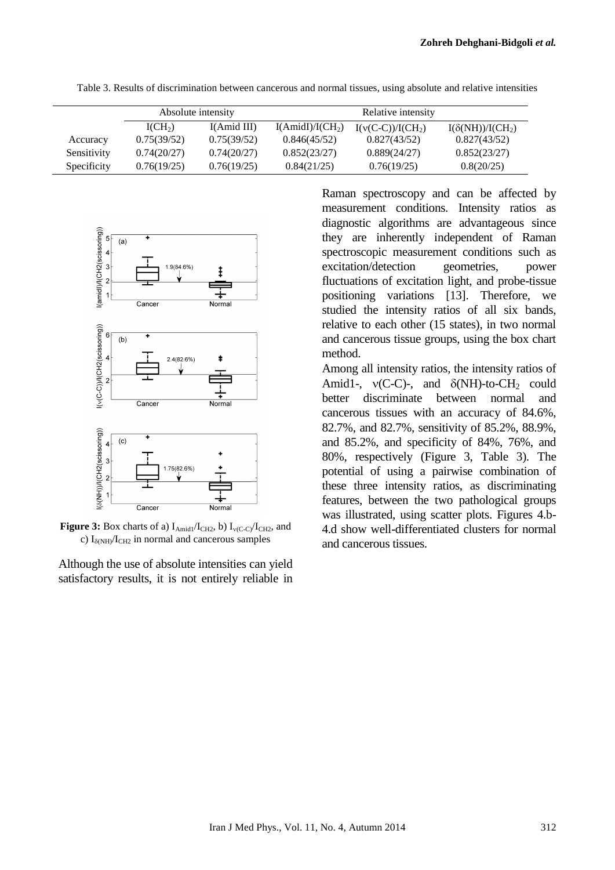|             | Absolute intensity  |             | Relative intensity |                     |                         |
|-------------|---------------------|-------------|--------------------|---------------------|-------------------------|
|             | I(CH <sub>2</sub> ) | I(Amid III) | $I(AmidI)/I(CH_2)$ | $I(v(C-C))/I(CH_2)$ | $I(\delta(NH))/I(CH_2)$ |
| Accuracy    | 0.75(39/52)         | 0.75(39/52) | 0.846(45/52)       | 0.827(43/52)        | 0.827(43/52)            |
| Sensitivity | 0.74(20/27)         | 0.74(20/27) | 0.852(23/27)       | 0.889(24/27)        | 0.852(23/27)            |
| Specificity | 0.76(19/25)         | 0.76(19/25) | 0.84(21/25)        | 0.76(19/25)         | 0.8(20/25)              |

Table 3. Results of discrimination between cancerous and normal tissues, using absolute and relative intensities





**Figure 3:** Box charts of a)  $I_{\text{Amid}1}/I_{\text{CH}2}$ , b)  $I_{\text{v(C-C)}}/I_{\text{CH}2}$ , and c)  $I_{\delta(NH)}/I_{CH2}$  in normal and cancerous samples

Although the use of absolute intensities can yield satisfactory results, it is not entirely reliable in Raman spectroscopy and can be affected by measurement conditions. Intensity ratios as diagnostic algorithms are advantageous since they are inherently independent of Raman spectroscopic measurement conditions such as excitation/detection geometries, power fluctuations of excitation light, and probe-tissue positioning variations [13]. Therefore, we studied the intensity ratios of all six bands, relative to each other (15 states), in two normal and cancerous tissue groups, using the box chart method.

Among all intensity ratios, the intensity ratios of Amid1-,  $v(C-C)$ -, and  $\delta(NH)$ -to-CH<sub>2</sub> could better discriminate between normal and cancerous tissues with an accuracy of 84.6%, 82.7%, and 82.7%, sensitivity of 85.2%, 88.9%, and 85.2%, and specificity of 84%, 76%, and 80%, respectively (Figure 3, Table 3). The potential of using a pairwise combination of these three intensity ratios, as discriminating features, between the two pathological groups was illustrated, using scatter plots. Figures 4.b-4.d show well-differentiated clusters for normal and cancerous tissues.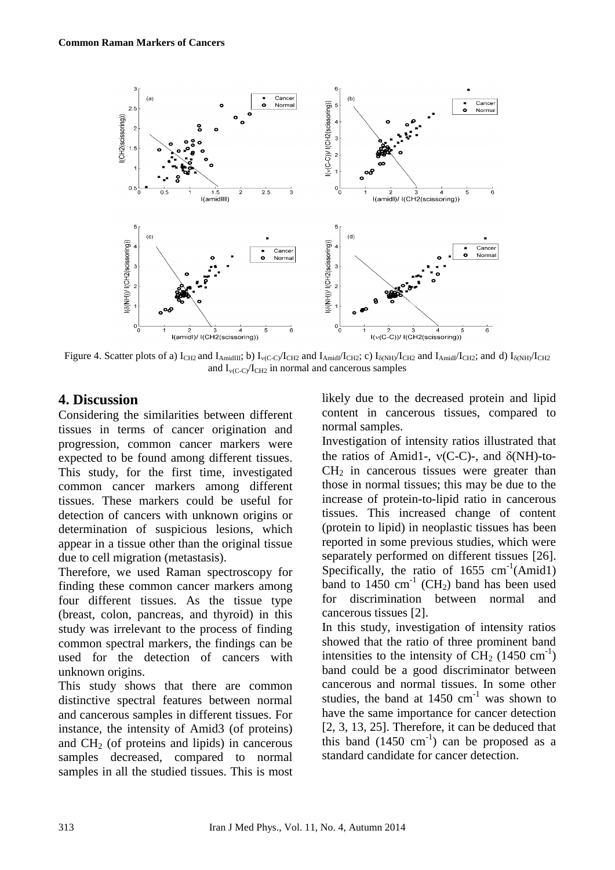

Figure 4. Scatter plots of a)  $I_{CH2}$  and  $I_{AmidIII}$ ; b)  $I_{\nu(C-C)}I_{CH2}$  and  $I_{AmidI}/I_{CH2}$ ; c)  $I_{\delta(NH)}I_{CH2}$  and  $I_{AmidI}/I_{CH2}$ ; and d)  $I_{\delta(NH)}I_{CH2}$ and  $I_{\text{v(C-C)}/I_{\text{CH2}}}$  in normal and cancerous samples

# **4. Discussion**

Considering the similarities between different tissues in terms of cancer origination and progression, common cancer markers were expected to be found among different tissues. This study, for the first time, investigated common cancer markers among different tissues. These markers could be useful for detection of cancers with unknown origins or determination of suspicious lesions, which appear in a tissue other than the original tissue due to cell migration (metastasis).

Therefore, we used Raman spectroscopy for finding these common cancer markers among four different tissues. As the tissue type (breast, colon, pancreas, and thyroid) in this study was irrelevant to the process of finding common spectral markers, the findings can be used for the detection of cancers with unknown origins.

This study shows that there are common distinctive spectral features between normal and cancerous samples in different tissues. For instance, the intensity of Amid3 (of proteins) and  $CH<sub>2</sub>$  (of proteins and lipids) in cancerous samples decreased, compared to normal samples in all the studied tissues. This is most likely due to the decreased protein and lipid content in cancerous tissues, compared to normal samples.

Investigation of intensity ratios illustrated that the ratios of Amid1-,  $v(C-C)$ -, and  $\delta(NH)$ -to- $CH<sub>2</sub>$  in cancerous tissues were greater than those in normal tissues; this may be due to the increase of protein-to-lipid ratio in cancerous tissues. This increased change of content (protein to lipid) in neoplastic tissues has been reported in some previous studies, which were separately performed on different tissues [26]. Specifically, the ratio of  $1655 \text{ cm}^{-1}(\text{Amid1})$ band to  $1450 \text{ cm}^{-1}$  (CH<sub>2</sub>) band has been used for discrimination between normal and cancerous tissues [2].

In this study, investigation of intensity ratios showed that the ratio of three prominent band intensities to the intensity of  $\text{CH}_2$  (1450 cm<sup>-1</sup>) band could be a good discriminator between cancerous and normal tissues. In some other studies, the band at  $1450 \text{ cm}^{-1}$  was shown to have the same importance for cancer detection [2, 3, 13, 25]. Therefore, it can be deduced that this band  $(1450 \text{ cm}^{-1})$  can be proposed as a standard candidate for cancer detection.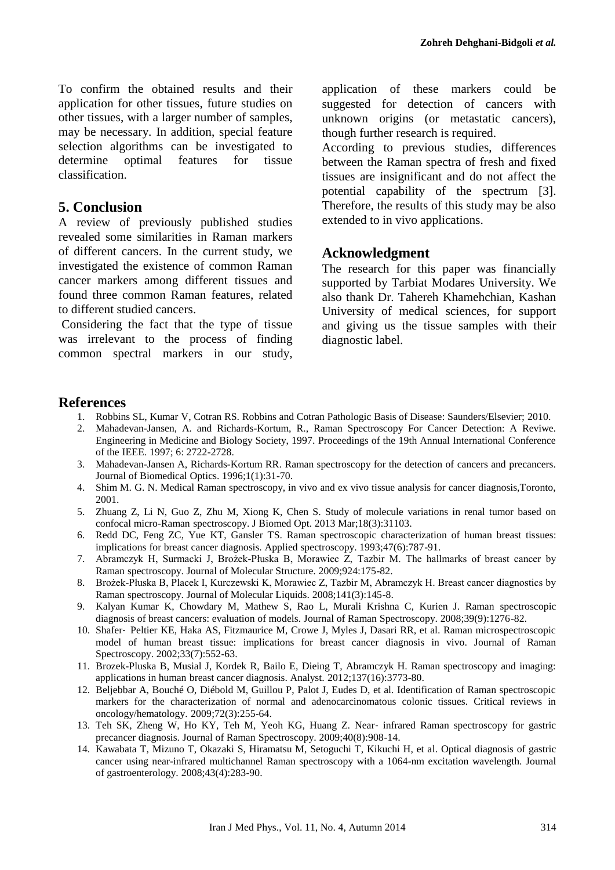To confirm the obtained results and their application for other tissues, future studies on other tissues, with a larger number of samples, may be necessary. In addition, special feature selection algorithms can be investigated to determine optimal features for tissue classification.

### **5. Conclusion**

A review of previously published studies revealed some similarities in Raman markers of different cancers. In the current study, we investigated the existence of common Raman cancer markers among different tissues and found three common Raman features, related to different studied cancers.

Considering the fact that the type of tissue was irrelevant to the process of finding common spectral markers in our study, application of these markers could be suggested for detection of cancers with unknown origins (or metastatic cancers), though further research is required.

According to previous studies, differences between the Raman spectra of fresh and fixed tissues are insignificant and do not affect the potential capability of the spectrum [3]. Therefore, the results of this study may be also extended to in vivo applications.

## **Acknowledgment**

The research for this paper was financially supported by Tarbiat Modares University. We also thank Dr. Tahereh Khamehchian, Kashan University of medical sciences, for support and giving us the tissue samples with their diagnostic label.

### **References**

- 1. Robbins SL, Kumar V, Cotran RS. Robbins and Cotran Pathologic Basis of Disease: Saunders/Elsevier; 2010.
- 2. Mahadevan-Jansen, A. and Richards-Kortum, R., Raman Spectroscopy For Cancer Detection: A Reviwe. Engineering in Medicine and Biology Society, 1997. Proceedings of the 19th Annual International Conference of the IEEE. 1997; 6: 2722-2728.
- 3. Mahadevan-Jansen A, Richards-Kortum RR. Raman spectroscopy for the detection of cancers and precancers. Journal of Biomedical Optics. 1996;1(1):31-70.
- 4. Shim M. G. N. Medical Raman spectroscopy, in vivo and ex vivo tissue analysis for cancer diagnosis,Toronto, 2001.
- 5. Zhuang Z, Li N, Guo Z, Zhu M, Xiong K, Chen S. Study of molecule variations in renal tumor based on confocal micro-Raman spectroscopy. J Biomed Opt. 2013 Mar;18(3):31103.
- 6. Redd DC, Feng ZC, Yue KT, Gansler TS. Raman spectroscopic characterization of human breast tissues: implications for breast cancer diagnosis. Applied spectroscopy. 1993;47(6):787-91.
- 7. Abramczyk H, Surmacki J, Brożek-Płuska B, Morawiec Z, Tazbir M. The hallmarks of breast cancer by Raman spectroscopy. Journal of Molecular Structure. 2009;924:175-82.
- 8. Brożek-Płuska B, Placek I, Kurczewski K, Morawiec Z, Tazbir M, Abramczyk H. Breast cancer diagnostics by Raman spectroscopy. Journal of Molecular Liquids. 2008;141(3):145-8.
- 9. Kalyan Kumar K, Chowdary M, Mathew S, Rao L, Murali Krishna C, Kurien J. Raman spectroscopic diagnosis of breast cancers: evaluation of models. Journal of Raman Spectroscopy. 2008;39(9):1276-82.
- 10. Shafer‐ Peltier KE, Haka AS, Fitzmaurice M, Crowe J, Myles J, Dasari RR, et al. Raman microspectroscopic model of human breast tissue: implications for breast cancer diagnosis in vivo. Journal of Raman Spectroscopy. 2002;33(7):552-63.
- 11. Brozek-Pluska B, Musial J, Kordek R, Bailo E, Dieing T, Abramczyk H. Raman spectroscopy and imaging: applications in human breast cancer diagnosis. Analyst. 2012;137(16):3773-80.
- 12. Beljebbar A, Bouché O, Diébold M, Guillou P, Palot J, Eudes D, et al. Identification of Raman spectroscopic markers for the characterization of normal and adenocarcinomatous colonic tissues. Critical reviews in oncology/hematology. 2009;72(3):255-64.
- 13. Teh SK, Zheng W, Ho KY, Teh M, Yeoh KG, Huang Z. Near-infrared Raman spectroscopy for gastric precancer diagnosis. Journal of Raman Spectroscopy. 2009;40(8):908-14.
- 14. Kawabata T, Mizuno T, Okazaki S, Hiramatsu M, Setoguchi T, Kikuchi H, et al. Optical diagnosis of gastric cancer using near-infrared multichannel Raman spectroscopy with a 1064-nm excitation wavelength. Journal of gastroenterology. 2008;43(4):283-90.